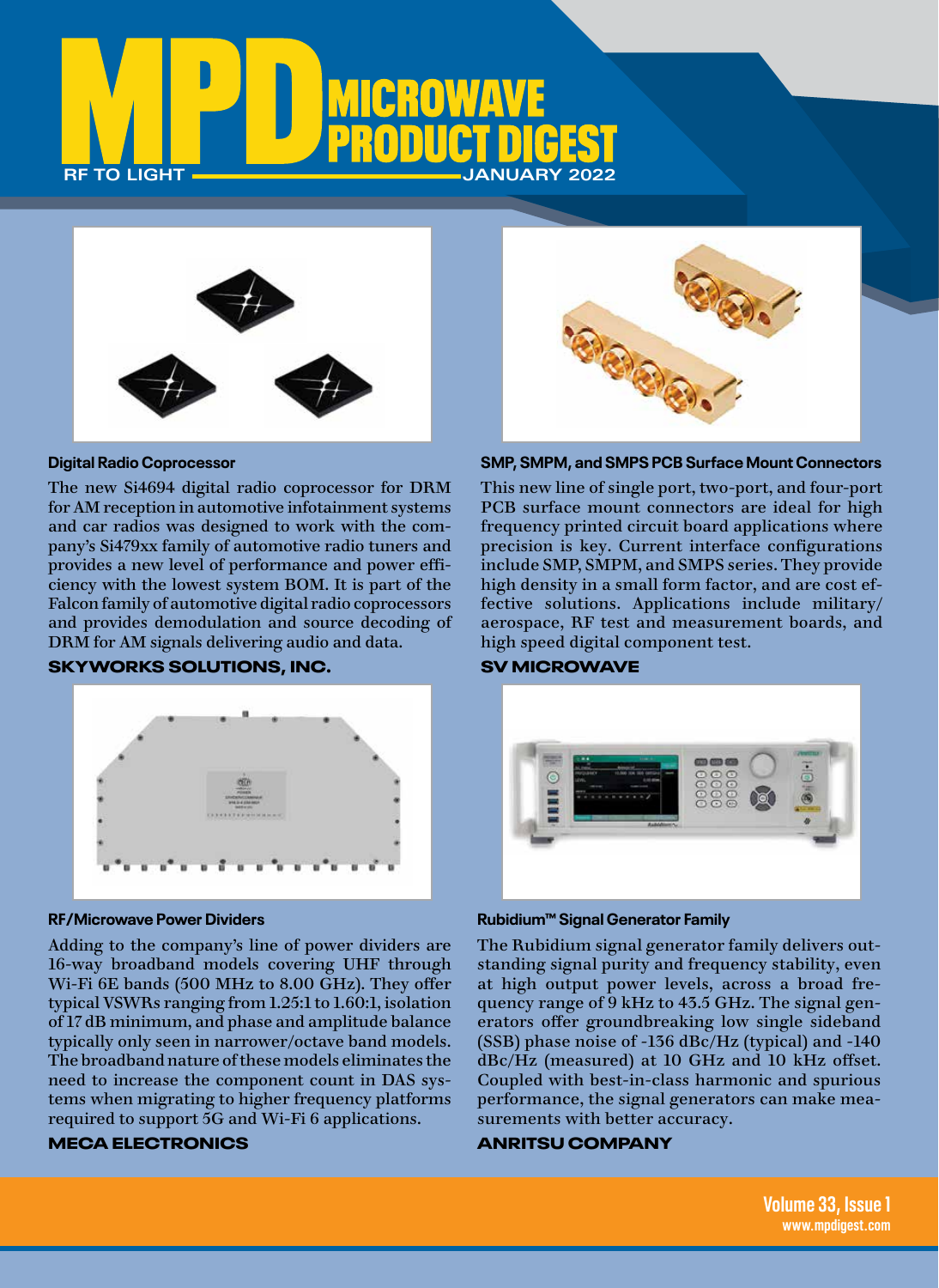



### **Digital Radio Coprocessor**

The new Si4694 digital radio coprocessor for DRM for AM reception in automotive infotainment systems and car radios was designed to work with the com[pany's Si479xx family of automotive radio tuners and](http://www.skyworksinc.com/)  provides a new level of performance and power efficiency with the lowest system BOM. It is part of the Falcon family of automotive digital radio coprocessors and provides demodulation and source decoding of DRM for AM signals delivering audio and data.

## SKYWORKS SOLUTIONS, INC.



#### **RF/Microwave Power Dividers**

[Adding to the company's line of power dividers are](http://www.e-meca.com/)  16-way broadband models covering UHF through Wi-Fi 6E bands (500 MHz to 8.00 GHz). They offer typical VSWRs ranging from 1.25:1 to 1.60:1, isolation of 17 dB minimum, and phase and amplitude balance typically only seen in narrower/octave band models. The broadband nature of these models eliminates the need to increase the component count in DAS systems when migrating to higher frequency platforms required to support 5G and Wi-Fi 6 applications.

## MECA ELECTRONICS



#### **SMP, SMPM, and SMPS PCB Surface Mount Connectors**

[This new line of single port, two-port, and four-port](http://www.svmicro.com)  PCB surface mount connectors are ideal for high frequency printed circuit board applications where precision is key. Current interface configurations include SMP, SMPM, and SMPS series. They provide high density in a small form factor, and are cost effective solutions. Applications include military/ aerospace, RF test and measurement boards, and high speed digital component test.

## SV MICROWAVE



## **Rubidium™ Signal Generator Family**

The Rubidium signal generator family delivers outstanding signal purity and frequency stability, even at high output power levels, across a broad frequency range of 9 kHz to 43.5 GHz. The signal generators offer groundbreaking low single sideband [\(SSB\) phase noise of -136 dBc/Hz \(typical\) and -140](http://www.anritsu.com/)  dBc/Hz (measured) at 10 GHz and 10 kHz offset. Coupled with best-in-class harmonic and spurious performance, the signal generators can make measurements with better accuracy.

## ANRITSU COMPANY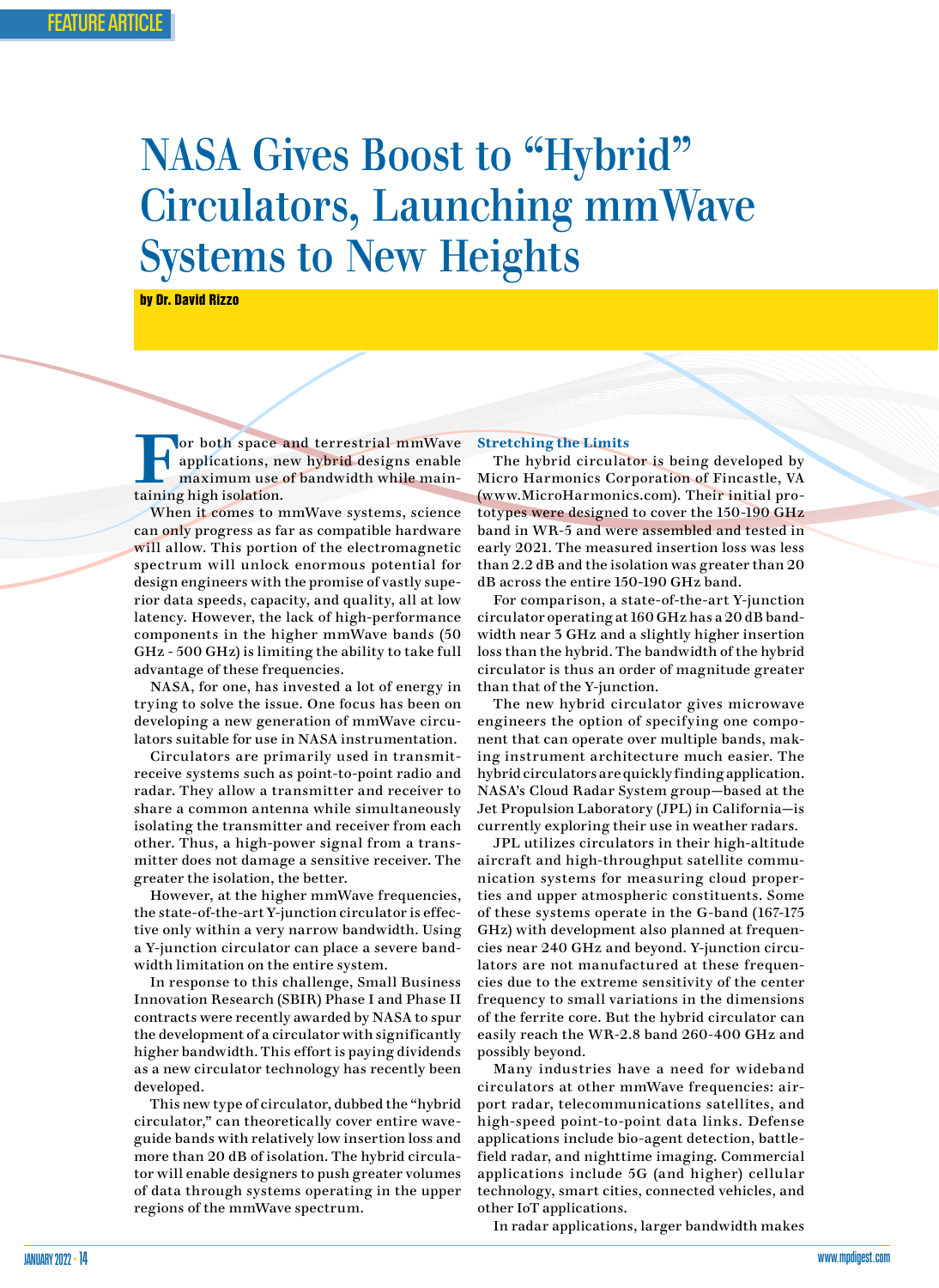# NASA Gives Boost to "Hybrid" Circulators, Launching mmWave Systems to New Heights

by Dr. David Rizzo

**For both space and terrestrial mmWave**<br>applications, new hybrid designs enable<br>maximum use of bandwidth while mainapplications, new hybrid designs enable maximum use of bandwidth while maintaining high isolation.

When it comes to mmWave systems, science can only progress as far as compatible hardware will allow. This portion of the electromagnetic spectrum will unlock enormous potential for design engineers with the promise of vastly superior data speeds, capacity, and quality, all at low latency. However, the lack of high-performance components in the higher mmWave bands (50 GHz - 500 GHz) is limiting the ability to take full advantage of these frequencies.

NASA, for one, has invested a lot of energy in trying to solve the issue. One focus has been on developing a new generation of mmWave circulators suitable for use in NASA instrumentation.

Circulators are primarily used in transmitreceive systems such as point-to-point radio and radar. They allow a transmitter and receiver to share a common antenna while simultaneously isolating the transmitter and receiver from each other. Thus, a high-power signal from a transmitter does not damage a sensitive receiver. The greater the isolation, the better.

However, at the higher mmWave frequencies, the state-of-the-art Y-junction circulator is effective only within a very narrow bandwidth. Using a Y-junction circulator can place a severe bandwidth limitation on the entire system.

In response to this challenge, Small Business Innovation Research (SBIR) Phase I and Phase II contracts were recently awarded by NASA to spur the development of a circulator with significantly higher bandwidth. This effort is paying dividends as a new circulator technology has recently been developed.

This new type of circulator, dubbed the "hybrid circulator," can theoretically cover entire waveguide bands with relatively low insertion loss and more than 20 dB of isolation. The hybrid circulator will enable designers to push greater volumes of data through systems operating in the upper regions of the mmWave spectrum.

#### **Stretching the Limits**

The hybrid circulator is being developed by Micro Harmonics Corporation of Fincastle, VA (www.MicroHarmonics.com). Their initial prototypes were designed to cover the 150-190 GHz band in WR-5 and were assembled and tested in early 2021. The measured insertion loss was less than 2.2 dB and the isolation was greater than 20 dB across the entire 150-190 GHz band.

For comparison, a state-of-the-art Y-junction circulator operating at 160 GHz has a 20 dB bandwidth near 3 GHz and a slightly higher insertion loss than the hybrid. The bandwidth of the hybrid circulator is thus an order of magnitude greater than that of the Y-junction.

The new hybrid circulator gives microwave engineers the option of specifying one component that can operate over multiple bands, making instrument architecture much easier. The hybrid circulators are quickly finding application. NASA's Cloud Radar System group—based at the Jet Propulsion Laboratory (JPL) in California—is currently exploring their use in weather radars.

JPL utilizes circulators in their high-altitude aircraft and high-throughput satellite communication systems for measuring cloud properties and upper atmospheric constituents. Some of these systems operate in the G-band (167-175 GHz) with development also planned at frequencies near 240 GHz and beyond. Y-junction circulators are not manufactured at these frequencies due to the extreme sensitivity of the center frequency to small variations in the dimensions of the ferrite core. But the hybrid circulator can easily reach the WR-2.8 band 260-400 GHz and possibly beyond.

Many industries have a need for wideband circulators at other mmWave frequencies: airport radar, telecommunications satellites, and high-speed point-to-point data links. Defense applications include bio-agent detection, battlefield radar, and nighttime imaging. Commercial applications include 5G (and higher) cellular technology, smart cities, connected vehicles, and other IoT applications.

In radar applications, larger bandwidth makes